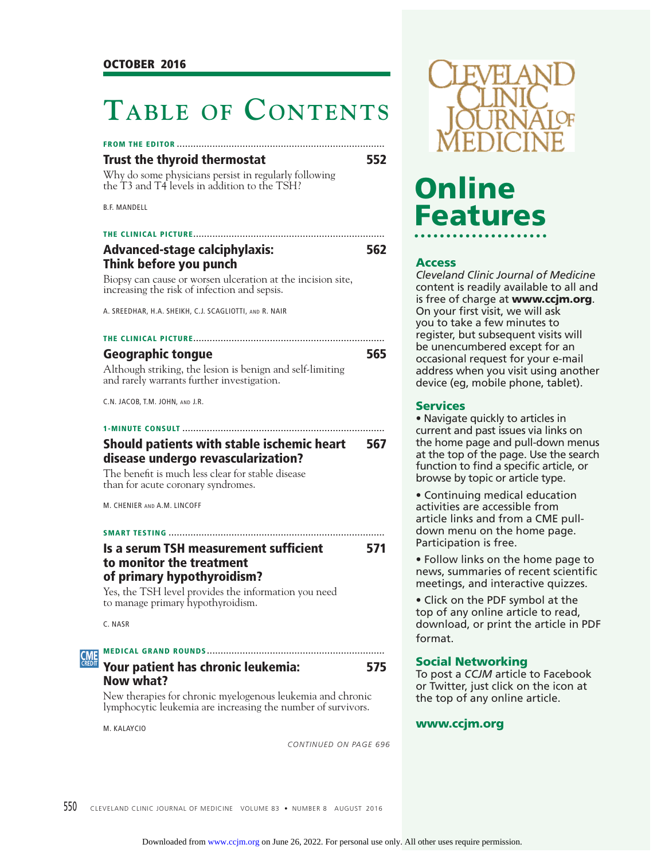# **TABLE OF CONTENTS**

### **Trust the thyroid thermostat 552**

Why do some physicians persist in regularly following the T3 and T4 levels in addition to the TSH?

B.F. MANDELL

# **THE CLINICAL PICTURE ...................................................................... Advanced-stage calciphylaxis: 562 Think before you punch**

Biopsy can cause or worsen ulceration at the incision site, increasing the risk of infection and sepsis.

A. SREEDHAR, H.A. SHEIKH, C.J. SCAGLIOTTI, AND R. NAIR

| <b>Geographic tongue</b>                                  | 565 |
|-----------------------------------------------------------|-----|
| Although striking, the lesion is benign and self-limiting |     |
| and rarely warrants further investigation.                |     |

C.N. JACOB, T.M. JOHN, AND J.R.

# **1-MINUTE CONSULT .......................................................................... Should patients with stable ischemic heart 567 disease undergo revascularization?**

The benefit is much less clear for stable disease than for acute coronary syndromes.

M. CHENIER AND A.M. LINCOFF

### **SMART TESTING ...............................................................................**

# **Is a serum TSH measurement sufficient 671 to monitor the treatment of primary hypothyroidism?**

Yes, the TSH level provides the information you need to manage primary hypothyroidism.

C. NASR

### **MEDICAL GRAND ROUNDS ................................................................. CME**

# **Your patient has chronic leukemia: 575 Now what?**

New therapies for chronic myelogenous leukemia and chronic lymphocytic leukemia are increasing the number of survivors.

M. KALAYCIO

*CONTINUED ON PAGE 696*



# Online **Features Features**

**Access** *Cleveland Clinic Journal of Medicine*  content is readily available to all and is free of charge at **www.ccjm.org**. On your first visit, we will ask you to take a few minutes to register, but subsequent visits will be unencumbered except for an occasional request for your e-mail address when you visit using another device (eg, mobile phone, tablet).

• Navigate quickly to articles in current and past issues via links on the home page and pull-down menus at the top of the page. Use the search function to find a specific article, or browse by topic or article type.

• Continuing medical education activities are accessible from article links and from a CME pulldown menu on the home page. Participation is free.

• Follow links on the home page to news, summaries of recent scientific meetings, and interactive quizzes.

• Click on the PDF symbol at the top of any online article to read, download, or print the article in PDF format.

**Social Networking** To post a *CCJM* article to Facebook or Twitter, just click on the icon at the top of any online article.

# **www.ccjm.org**